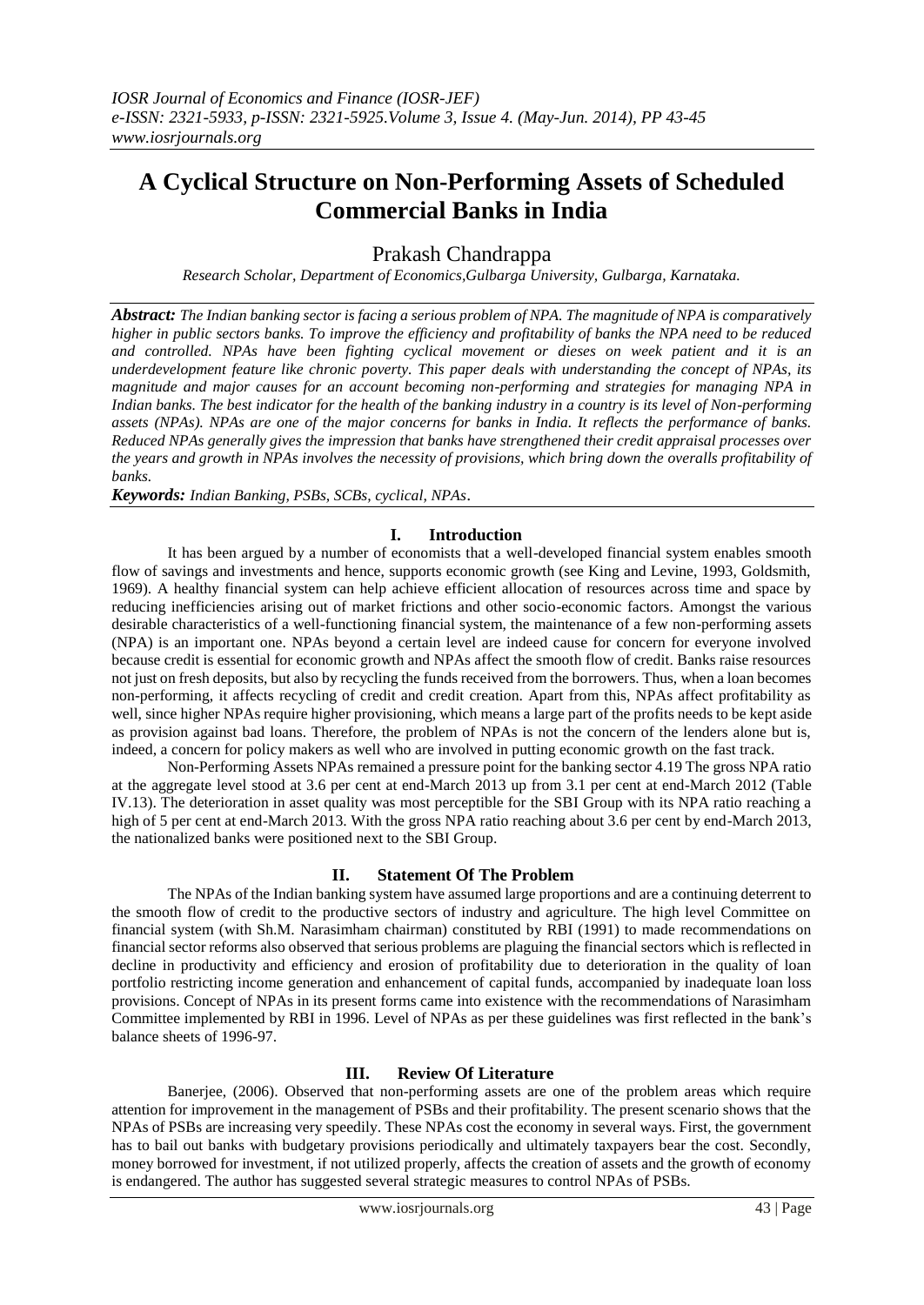# **A Cyclical Structure on Non-Performing Assets of Scheduled Commercial Banks in India**

Prakash Chandrappa

*Research Scholar, Department of Economics,Gulbarga University, Gulbarga, Karnataka.*

*Abstract: The Indian banking sector is facing a serious problem of NPA. The magnitude of NPA is comparatively higher in public sectors banks. To improve the efficiency and profitability of banks the NPA need to be reduced and controlled. NPAs have been fighting cyclical movement or dieses on week patient and it is an underdevelopment feature like chronic poverty. This paper deals with understanding the concept of NPAs, its magnitude and major causes for an account becoming non-performing and strategies for managing NPA in Indian banks. The best indicator for the health of the banking industry in a country is its level of Non-performing assets (NPAs). NPAs are one of the major concerns for banks in India. It reflects the performance of banks. Reduced NPAs generally gives the impression that banks have strengthened their credit appraisal processes over the years and growth in NPAs involves the necessity of provisions, which bring down the overalls profitability of banks.* 

*Keywords: Indian Banking, PSBs, SCBs, cyclical, NPAs*.

# **I. Introduction**

It has been argued by a number of economists that a well-developed financial system enables smooth flow of savings and investments and hence, supports economic growth (see King and Levine, 1993, Goldsmith, 1969). A healthy financial system can help achieve efficient allocation of resources across time and space by reducing inefficiencies arising out of market frictions and other socio-economic factors. Amongst the various desirable characteristics of a well-functioning financial system, the maintenance of a few non-performing assets (NPA) is an important one. NPAs beyond a certain level are indeed cause for concern for everyone involved because credit is essential for economic growth and NPAs affect the smooth flow of credit. Banks raise resources not just on fresh deposits, but also by recycling the funds received from the borrowers. Thus, when a loan becomes non-performing, it affects recycling of credit and credit creation. Apart from this, NPAs affect profitability as well, since higher NPAs require higher provisioning, which means a large part of the profits needs to be kept aside as provision against bad loans. Therefore, the problem of NPAs is not the concern of the lenders alone but is, indeed, a concern for policy makers as well who are involved in putting economic growth on the fast track.

Non-Performing Assets NPAs remained a pressure point for the banking sector 4.19 The gross NPA ratio at the aggregate level stood at 3.6 per cent at end-March 2013 up from 3.1 per cent at end-March 2012 (Table IV.13). The deterioration in asset quality was most perceptible for the SBI Group with its NPA ratio reaching a high of 5 per cent at end-March 2013. With the gross NPA ratio reaching about 3.6 per cent by end-March 2013, the nationalized banks were positioned next to the SBI Group.

#### **II. Statement Of The Problem**

The NPAs of the Indian banking system have assumed large proportions and are a continuing deterrent to the smooth flow of credit to the productive sectors of industry and agriculture. The high level Committee on financial system (with Sh.M. Narasimham chairman) constituted by RBI (1991) to made recommendations on financial sector reforms also observed that serious problems are plaguing the financial sectors which is reflected in decline in productivity and efficiency and erosion of profitability due to deterioration in the quality of loan portfolio restricting income generation and enhancement of capital funds, accompanied by inadequate loan loss provisions. Concept of NPAs in its present forms came into existence with the recommendations of Narasimham Committee implemented by RBI in 1996. Level of NPAs as per these guidelines was first reflected in the bank"s balance sheets of 1996-97.

#### **III. Review Of Literature**

Banerjee, (2006). Observed that non-performing assets are one of the problem areas which require attention for improvement in the management of PSBs and their profitability. The present scenario shows that the NPAs of PSBs are increasing very speedily. These NPAs cost the economy in several ways. First, the government has to bail out banks with budgetary provisions periodically and ultimately taxpayers bear the cost. Secondly, money borrowed for investment, if not utilized properly, affects the creation of assets and the growth of economy is endangered. The author has suggested several strategic measures to control NPAs of PSBs.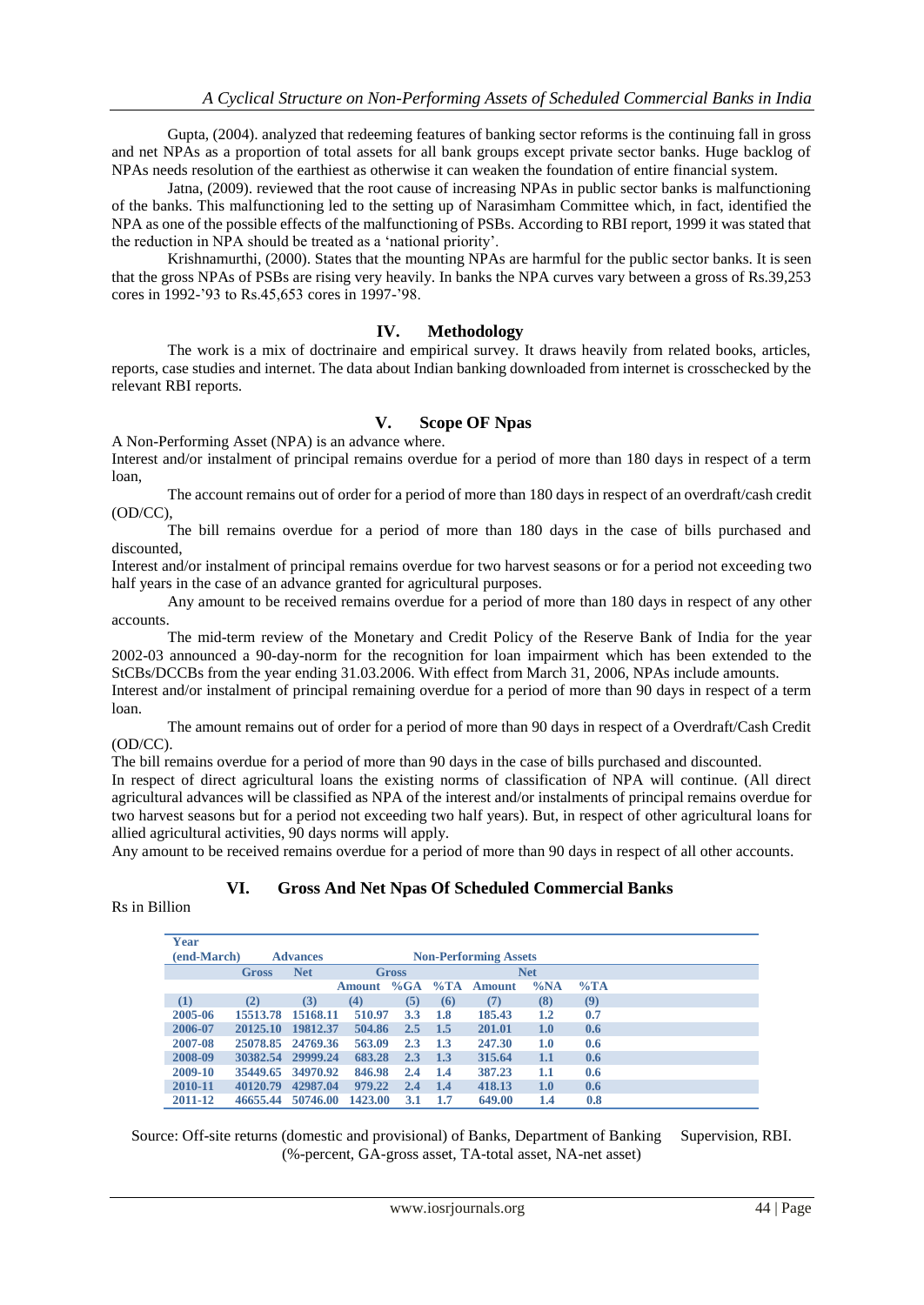Gupta, (2004). analyzed that redeeming features of banking sector reforms is the continuing fall in gross and net NPAs as a proportion of total assets for all bank groups except private sector banks. Huge backlog of NPAs needs resolution of the earthiest as otherwise it can weaken the foundation of entire financial system.

Jatna, (2009). reviewed that the root cause of increasing NPAs in public sector banks is malfunctioning of the banks. This malfunctioning led to the setting up of Narasimham Committee which, in fact, identified the NPA as one of the possible effects of the malfunctioning of PSBs. According to RBI report, 1999 it was stated that the reduction in NPA should be treated as a "national priority".

Krishnamurthi, (2000). States that the mounting NPAs are harmful for the public sector banks. It is seen that the gross NPAs of PSBs are rising very heavily. In banks the NPA curves vary between a gross of Rs.39,253 cores in 1992-'93 to Rs.45,653 cores in 1997-'98.

# **IV. Methodology**

The work is a mix of doctrinaire and empirical survey. It draws heavily from related books, articles, reports, case studies and internet. The data about Indian banking downloaded from internet is crosschecked by the relevant RBI reports.

# **V. Scope OF Npas**

A Non-Performing Asset (NPA) is an advance where.

Interest and/or instalment of principal remains overdue for a period of more than 180 days in respect of a term loan,

The account remains out of order for a period of more than 180 days in respect of an overdraft/cash credit (OD/CC),

The bill remains overdue for a period of more than 180 days in the case of bills purchased and discounted,

Interest and/or instalment of principal remains overdue for two harvest seasons or for a period not exceeding two half years in the case of an advance granted for agricultural purposes.

Any amount to be received remains overdue for a period of more than 180 days in respect of any other accounts.

The mid-term review of the Monetary and Credit Policy of the Reserve Bank of India for the year 2002-03 announced a 90-day-norm for the recognition for loan impairment which has been extended to the StCBs/DCCBs from the year ending 31.03.2006. With effect from March 31, 2006, NPAs include amounts.

Interest and/or instalment of principal remaining overdue for a period of more than 90 days in respect of a term loan.

The amount remains out of order for a period of more than 90 days in respect of a Overdraft/Cash Credit (OD/CC).

The bill remains overdue for a period of more than 90 days in the case of bills purchased and discounted.

In respect of direct agricultural loans the existing norms of classification of NPA will continue. (All direct agricultural advances will be classified as NPA of the interest and/or instalments of principal remains overdue for two harvest seasons but for a period not exceeding two half years). But, in respect of other agricultural loans for allied agricultural activities, 90 days norms will apply.

Any amount to be received remains overdue for a period of more than 90 days in respect of all other accounts.

#### **VI. Gross And Net Npas Of Scheduled Commercial Banks**

Rs in Billion

| Year                           |          |                              |               |     |            |        |         |        |  |
|--------------------------------|----------|------------------------------|---------------|-----|------------|--------|---------|--------|--|
| (end-March)<br><b>Advances</b> |          | <b>Non-Performing Assets</b> |               |     |            |        |         |        |  |
| <b>Gross</b>                   |          | <b>Net</b>                   | <b>Gross</b>  |     | <b>Net</b> |        |         |        |  |
|                                |          |                              | <b>Amount</b> | %GA | $\%TA$     | Amount | $\%NA$  | $\%TA$ |  |
| (1)                            | (2)      | (3)                          | (4)           | (5) | (6)        | (7)    | (8)     | (9)    |  |
| 2005-06                        | 15513.78 | 15168.11                     | 510.97        | 3.3 | 1.8        | 185.43 | $1.2\,$ | 0.7    |  |
| 2006-07                        | 20125.10 | 19812.37                     | 504.86        | 2.5 | 1.5        | 201.01 | 1.0     | 0.6    |  |
| 2007-08                        | 25078.85 | 24769.36                     | 563.09        | 2.3 | 1.3        | 247.30 | 1.0     | 0.6    |  |
| 2008-09                        | 30382.54 | 29999.24                     | 683.28        | 2.3 | 1.3        | 315.64 | 1.1     | 0.6    |  |
| 2009-10                        | 35449.65 | 34970.92                     | 846.98        | 2.4 | 1.4        | 387.23 | 1.1     | 0.6    |  |
| 2010-11                        | 40120.79 | 42987.04                     | 979.22        | 2.4 | 1.4        | 418.13 | 1.0     | 0.6    |  |
| 2011-12                        | 46655.44 | 50746.00                     | 1423.00       | 3.1 | 1.7        | 649.00 | 1.4     | 0.8    |  |

Source: Off-site returns (domestic and provisional) of Banks, Department of Banking Supervision, RBI. (%-percent, GA-gross asset, TA-total asset, NA-net asset)